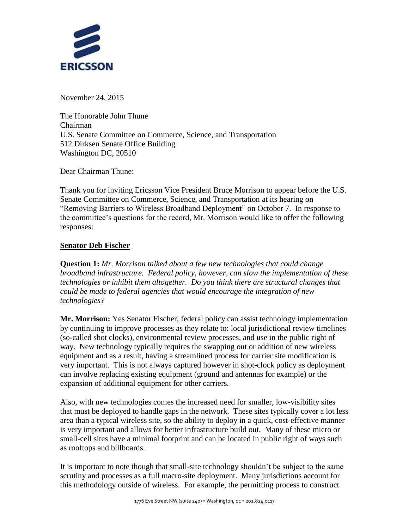

November 24, 2015

The Honorable John Thune Chairman U.S. Senate Committee on Commerce, Science, and Transportation 512 Dirksen Senate Office Building Washington DC, 20510

Dear Chairman Thune:

Thank you for inviting Ericsson Vice President Bruce Morrison to appear before the U.S. Senate Committee on Commerce, Science, and Transportation at its hearing on "Removing Barriers to Wireless Broadband Deployment" on October 7. In response to the committee's questions for the record, Mr. Morrison would like to offer the following responses:

## **Senator Deb Fischer**

**Question 1:** *Mr. Morrison talked about a few new technologies that could change broadband infrastructure. Federal policy, however, can slow the implementation of these technologies or inhibit them altogether. Do you think there are structural changes that could be made to federal agencies that would encourage the integration of new technologies?*

**Mr. Morrison:** Yes Senator Fischer, federal policy can assist technology implementation by continuing to improve processes as they relate to: local jurisdictional review timelines (so-called shot clocks), environmental review processes, and use in the public right of way. New technology typically requires the swapping out or addition of new wireless equipment and as a result, having a streamlined process for carrier site modification is very important. This is not always captured however in shot-clock policy as deployment can involve replacing existing equipment (ground and antennas for example) or the expansion of additional equipment for other carriers.

Also, with new technologies comes the increased need for smaller, low-visibility sites that must be deployed to handle gaps in the network. These sites typically cover a lot less area than a typical wireless site, so the ability to deploy in a quick, cost-effective manner is very important and allows for better infrastructure build out. Many of these micro or small-cell sites have a minimal footprint and can be located in public right of ways such as rooftops and billboards.

It is important to note though that small-site technology shouldn't be subject to the same scrutiny and processes as a full macro-site deployment. Many jurisdictions account for this methodology outside of wireless. For example, the permitting process to construct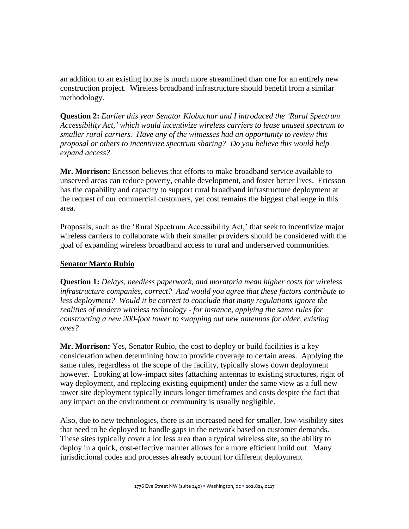an addition to an existing house is much more streamlined than one for an entirely new construction project. Wireless broadband infrastructure should benefit from a similar methodology.

**Question 2:** *Earlier this year Senator Klobuchar and I introduced the 'Rural Spectrum Accessibility Act,' which would incentivize wireless carriers to lease unused spectrum to smaller rural carriers. Have any of the witnesses had an opportunity to review this proposal or others to incentivize spectrum sharing? Do you believe this would help expand access?*

**Mr. Morrison:** Ericsson believes that efforts to make broadband service available to unserved areas can reduce poverty, enable development, and foster better lives. Ericsson has the capability and capacity to support rural broadband infrastructure deployment at the request of our commercial customers, yet cost remains the biggest challenge in this area.

Proposals, such as the 'Rural Spectrum Accessibility Act,' that seek to incentivize major wireless carriers to collaborate with their smaller providers should be considered with the goal of expanding wireless broadband access to rural and underserved communities.

## **Senator Marco Rubio**

**Question 1:** *Delays, needless paperwork, and moratoria mean higher costs for wireless infrastructure companies, correct? And would you agree that these factors contribute to less deployment? Would it be correct to conclude that many regulations ignore the realities of modern wireless technology - for instance, applying the same rules for constructing a new 200-foot tower to swapping out new antennas for older, existing ones?*

**Mr. Morrison:** Yes, Senator Rubio, the cost to deploy or build facilities is a key consideration when determining how to provide coverage to certain areas. Applying the same rules, regardless of the scope of the facility, typically slows down deployment however. Looking at low-impact sites (attaching antennas to existing structures, right of way deployment, and replacing existing equipment) under the same view as a full new tower site deployment typically incurs longer timeframes and costs despite the fact that any impact on the environment or community is usually negligible.

Also, due to new technologies, there is an increased need for smaller, low-visibility sites that need to be deployed to handle gaps in the network based on customer demands. These sites typically cover a lot less area than a typical wireless site, so the ability to deploy in a quick, cost-effective manner allows for a more efficient build out. Many jurisdictional codes and processes already account for different deployment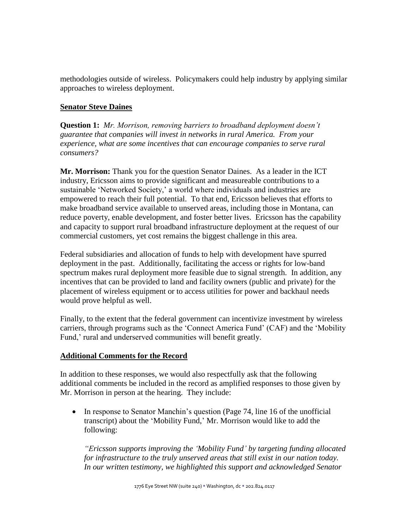methodologies outside of wireless. Policymakers could help industry by applying similar approaches to wireless deployment.

## **Senator Steve Daines**

**Question 1:** *Mr. Morrison, removing barriers to broadband deployment doesn't guarantee that companies will invest in networks in rural America. From your experience, what are some incentives that can encourage companies to serve rural consumers?*

**Mr. Morrison:** Thank you for the question Senator Daines. As a leader in the ICT industry, Ericsson aims to provide significant and measureable contributions to a sustainable 'Networked Society,' a world where individuals and industries are empowered to reach their full potential. To that end, Ericsson believes that efforts to make broadband service available to unserved areas, including those in Montana, can reduce poverty, enable development, and foster better lives. Ericsson has the capability and capacity to support rural broadband infrastructure deployment at the request of our commercial customers, yet cost remains the biggest challenge in this area.

Federal subsidiaries and allocation of funds to help with development have spurred deployment in the past. Additionally, facilitating the access or rights for low-band spectrum makes rural deployment more feasible due to signal strength. In addition, any incentives that can be provided to land and facility owners (public and private) for the placement of wireless equipment or to access utilities for power and backhaul needs would prove helpful as well.

Finally, to the extent that the federal government can incentivize investment by wireless carriers, through programs such as the 'Connect America Fund' (CAF) and the 'Mobility Fund,' rural and underserved communities will benefit greatly.

## **Additional Comments for the Record**

In addition to these responses, we would also respectfully ask that the following additional comments be included in the record as amplified responses to those given by Mr. Morrison in person at the hearing. They include:

• In response to Senator Manchin's question (Page 74, line 16 of the unofficial transcript) about the 'Mobility Fund,' Mr. Morrison would like to add the following:

*"Ericsson supports improving the 'Mobility Fund' by targeting funding allocated for infrastructure to the truly unserved areas that still exist in our nation today. In our written testimony, we highlighted this support and acknowledged Senator*